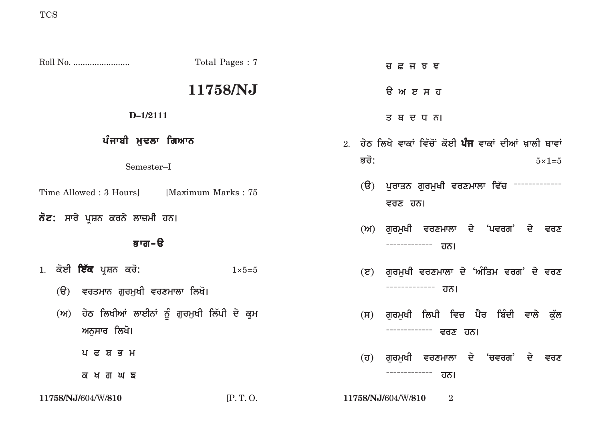|                                                                                           | Total Pages: 7   | <b>ਰ ਛ ਜ ਝ ਞ</b>                                                     |
|-------------------------------------------------------------------------------------------|------------------|----------------------------------------------------------------------|
|                                                                                           | 11758/NJ         | <b>ੳ</b> ਅ ੲ ਸ ਹ                                                     |
| $D-1/2111$                                                                                |                  | ਤ ਥ ਦ ਧ ਨ।                                                           |
| ਪੰਜਾਬੀ ਮੁਢਲਾ ਗਿਆਨ                                                                         |                  | 2. ਹੇਠ ਲਿਖੇ ਵਾਕਾਂ ਵਿੱਚੋਂ ਕੋਈ <b>ਪੰਜ</b> ਵਾਕਾਂ ਦੀਆਂ ਖ਼ਾਲੀ ਥਾਵਾਂ       |
| Semester-I                                                                                |                  | ਭਰੋ:<br>$5 \times 1 = 5$                                             |
| Time Allowed : 3 Hours]<br>[Maximum Marks: 75]<br><b>ਨੋਟ:</b> ਸਾਰੇ ਪ੍ਰਸ਼ਨ ਕਰਨੇ ਲਾਜ਼ਮੀ ਹਨ। |                  | (ੳ) ਪੁਰਾਤਨ ਗੁਰਮੁਖੀ ਵਰਣਮਾਲਾ ਵਿੱਚ -------------<br>ਵਰਣ ਹਨ।             |
|                                                                                           |                  | (ਅ) ਗੁਰਮੁਖੀ ਵਰਣਮਾਲਾ ਦੇ 'ਪਵਰਗ' ਦੇ ਵਰਣ                                 |
| ਭਾਗ-ੳ                                                                                     |                  | -------------<br>ਹਨ।                                                 |
| 1. ਕੋਈ <b>ਇੱਕ</b> ਪ੍ਰਸ਼ਨ ਕਰੋ:                                                             | $1 \times 5 = 5$ | ਗੁਰਮੁਖੀ ਵਰਣਮਾਲਾ ਦੇ 'ਅੰਤਿਮ ਵਰਗ' ਦੇ ਵਰਣ<br>$(\overline{S})$            |
| $(\theta)$<br>ਵਰਤਮਾਨ ਗੁਰਮੁਖੀ ਵਰਣਮਾਲਾ ਲਿਖੋ।                                                |                  | -------------<br>ਹਨ।                                                 |
| (ਅ) ਹੇਠ ਲਿਖੀਆਂ ਲਾਈਨਾਂ ਨੂੰ ਗੁਰਮੁਖੀ ਲਿੱਪੀ ਦੇ ਕ੍ਰ <b>ਮ</b><br>ਅਨੁਸਾਰ ਲਿਖੋ।                   |                  | ਗੁਰਮੁਖੀ ਲਿਪੀ ਵਿਚ ਪੈਰ ਬਿੰਦੀ ਵਾਲੇ ਕੁੱਲ<br>(H)<br>------------- ਵਰਣ ਹਨ। |
| ਪ ਫ ਬ ਭ ਮ                                                                                 |                  | ਗੁਰਮੁਖੀ ਵਰਣਮਾਲਾ ਦੇ 'ਚਵਰਗ' ਦੇ ਵਰਣ<br>$(\overline{U})$                 |
| ਕ ਖ ਗ ਘ ਙ                                                                                 |                  | -------------<br>ਹਨ।                                                 |
| 11758/NJ/604/W/810                                                                        | [P.T. O.         | 11758/NJ/604/W/810<br>$\overline{2}$                                 |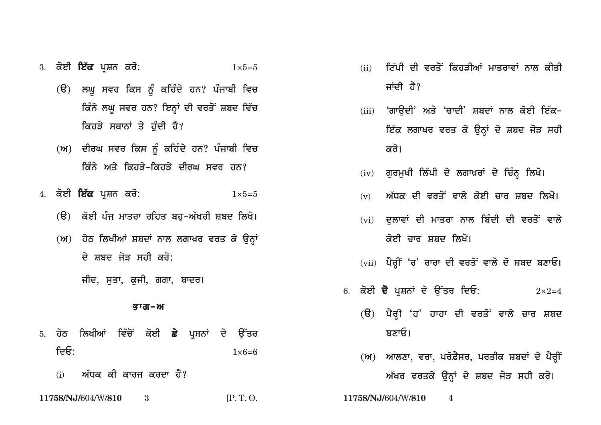## 3. **koeI ie`k pRSn kro:** 1×5=5

- $\overline{G}(t)$  ਲਘੁ ਸਵਰ ਕਿਸ ਨੂੰ ਕਹਿੰਦੇ ਹਨ? ਪੰਜਾਬੀ ਵਿਚ *ਕਿੰ*ਨੇ ਲਘੁ ਸਵਰ ਹਨ? ਇਨ੍ਹਾਂ ਦੀ ਵਰਤੋਂ ਸ਼ਬਦ ਵਿੱਚ **ਕਿਹੜੇ ਸਥਾਨਾਂ ਤੇ ਹੰਦੀ ਹੈ?**
- (ਅ) ਦੀਰਘ ਸਵਰ ਕਿਸ ਨੂੰ ਕਹਿੰਦੇ ਹਨ? ਪੰਜਾਬੀ ਵਿਚ **ਕਿੰਨੇ ਅਤੇ ਕਿਹਤੇ-ਕਿਹਤੇ ਦੀਰਘ ਸਵਰ ਹਨ**?
- 4. **koeI ie`k pRSn kro:** 1×5=5
	- (ੳ) ਕੋਈ ਪੰਜ ਮਾਤਰਾ ਰਹਿਤ ਬਹ-ਅੱਖਰੀ ਸ਼ਬਦ ਲਿਖੋ।
	- (ਅ) ਹੇਠ ਲਿਖੀਆਂ ਸ਼ਬਦਾਂ ਨਾਲ ਲਗਾਖ਼ਰ ਵਰਤ ਕੇ ਉਨ੍ਹਾਂ <u>ਦੇ ਸ਼ਬਦ ਜੋਤ ਸਹੀ ਕਰੋ:</u>
		- ਜੀਦ, ਸਤਾ, ਕਜੀ, ਗਗਾ, **ਬਾਦਰ**।

## <u>ਭਾਗ–ਅ</u>

- 5. ਹੇਠ ਲਿਖੀਆਂ ਵਿੱਚੋਂ ਕੋਈ **ਛੇ** ਪੁਸ਼ਨਾਂ ਦੇ ਉੱਤਰ **idE:** 1×6=6
	- (i) ਅੱਧਕ ਕੀ ਕਾਰਜ ਕਰਦਾ ਹੈ?
- **11758/NJ/**604/W/**810** 3 [P. T. O. **11758/NJ/**604/W/**810** 4
- (ii) ਟਿੱਪੀ ਦੀ ਵਰਤੋਂ ਕਿਹੜੀਆਂ ਮਾਤਰਾਵਾਂ ਨਾਲ ਕੀਤੀ ਜਾਂਦੀ ਹੈ?
- (iii) 'ਗਾੳਦੀ' ਅਤੇ 'ਚਾਦੀ' ਸ਼ਬਦਾਂ ਨਾਲ ਕੋਈ ਇੱਕ<u>ਇੱਕ ਲਗਾਖਰ ਵਰਤ ਕੇ ਉਨ੍ਹਾਂ ਦੇ ਸ਼ਬਦ ਜੋੜ ਸਹੀ</u> <u>ਕ</u>ਰੋ।
- (<u>iv) ਗੁਰਮੁਖੀ ਲਿੱਪੀ ਦੇ ਲਗਾਖ਼ਰਾਂ ਦੇ ਚਿੰਨ੍ਹ</u> ਲਿਖੋ।
- <u>(v) ਅੱਧਕ ਦੀ ਵਰਤੋਂ ਵਾਲੇ ਕੋਈ ਚਾਰ ਸ਼ਬਦ ਲਿਖੋ।</u>
- (vi) ਦਲਾਵਾਂ ਦੀ ਮਾਤਰਾ ਨਾਲ ਬਿੰਦੀ ਦੀ ਵਰਤੋਂ ਵਾਲੇ *ਕੋ*ਈ ਜਾਰ ਸਬਦ ਲਿਖੋ।
- (vii) ਪੈਰ੍ਹੀਂ 'ਰ' ਰਾਰਾ ਦੀ ਵਰਤੋਂ ਵਾਲੇ ਦੋ ਸ਼ਬਦ ਬਣਾਓ।
- 6. **koeI d opRSnW dy au~qr idE:** 2×2=4
	- (ੳ) ਪੈਰ੍ਹੀ 'ਹ' ਹਾਹਾ ਦੀ ਵਰਤੋਂ ਵਾਲੇ ਚਾਰ ਸ਼ਬਦ <u>ਬਣਾਓ।</u>
	- (M) ਆਲਣਾ, ਵਰਾ, ਪਰੋਫ਼ੈਸਰ, ਪਰਤੀਕ ਸ਼ਬਦਾਂ ਦੇ ਪੈਰ੍<mark>ਹ</mark>ੀਂ <u>ਅੱਖਰ ਵਰਤਕੇ ਉਨ੍ਹਾਂ ਦੇ ਸ਼ਬਦ ਜੋੜ ਸਹੀ ਕਰੋ।</u>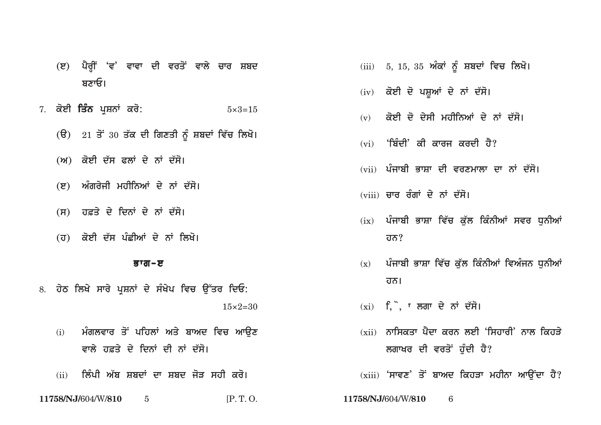- **(e) pYrHIN 'v' vwvw dI vrqoN vwly cwr Sbd** <u>ਬਣਾਓ।</u>
- 7. **koeI iqMn pRSnW kro:** 5×3=15
	- (ੳ) 21 ਤੋਂ 30 ਤੱਕ ਦੀ ਗਿਣਤੀ ਨੂੰ ਸ਼ਬਦਾਂ ਵਿੱਚ ਲਿਖੋ।
	- (ਅ) ਕੋਈ ਦੱਸ ਫਲਾਂ ਦੇ ਨਾਂ ਦੱਸੋ।
	- (ੲ) ਅੰਗਰੇਜੀ ਮਹੀਨਿਆਂ ਦੇ ਨਾਂ ਦੱਸੋ।
	- <u>(ਸ) ਹਫ਼ਤੇ ਦੇ ਦਿਨਾਂ ਦੇ ਨਾਂ ਦੱਸੋ।</u>
	- (ਹ) ਕੋਈ ਦੱਸ ਪੰਛੀਆਂ ਦੇ ਨਾਂ ਲਿਖੋ।

## <u>ਭਾਗ–ੲ</u>

- 8. ਹੇਠ ਲਿਖੇ ਸਾਰੇ ਪਸ਼ਨਾਂ ਦੇ ਸੰਖੇਪ ਵਿਚ **ੳੱਤਰ ਦਿਓ**:  $15\times2=30$ 
	- (i) ਮੰਗਲਵਾਰ ਤੋਂ ਪਹਿਲਾਂ ਅਤੇ ਬਾਅਦ ਵਿਚ ਆ**ੳਣ** ਵਾਲੇ ਹਫ਼ਤੇ ਦੇ ਦਿਨਾਂ ਦੀ ਨਾਂ ਦੱਸੋ।
	- (ii) ਲਿੰਪੀ ਅੱਬ ਸ਼ਬਦਾਂ ਦਾ ਸ਼ਬਦ ਜੋੜ ਸਹੀ ਕਰੋ।
- **11758/NJ/**604/W/**810** 5 [P. T. O. **11758/NJ/**604/W/**810** 6
- (iii) 5, 15, 35 ਅੰਕਾਂ ਨੂੰ ਸ਼ਬਦਾਂ ਵਿਚ ਲਿਖੋ।
- (iv) ਕੋਈ ਦੋ ਪਸ਼ੂਆਂ ਦੇ ਨਾਂ ਦੱਸੋ।
- (v) ਕੋਈ ਦੋ ਦੇਸੀ ਮਹੀਨਿਆਂ ਦੇ ਨਾਂ ਦੱਸੋ।
- (vi) **'ਬਿੰਦੀ' ਕੀ ਕਾਰਜ ਕਰਦੀ ਹੈ**?
- (vii) ਪੰਜਾਬੀ ਭਾਸ਼ਾ ਦੀ ਵਰਣਮਾਲਾ ਦਾ ਨਾਂ ਦੱਸੋ।
- <u>(viii) ਚਾਰ ਰੰਗਾਂ ਦੇ ਨਾਂ ਦੱਸੋ।</u>
- (ix) ਪੰਜਾਬੀ ਭਾਸ਼ਾ ਵਿੱਚ ਕੱਲ ਕਿੰਨੀਆਂ ਸਵਰ ਧਨੀਆਂ **hn?**
- (x) ਪੰਜਾਬੀ ਭਾਸ਼ਾ ਵਿੱਚ ਕੱਲ ਕਿੰਨੀਆਂ ਵਿਅੰਜਨ ਧਨੀਆਂ <u>ਹਨ।</u>
- (xi) <u>f, , , ਲਗਾ ਦੇ ਨਾਂ ਦੱਸੋ।</u>
- (xii) **ਨਾਸਿਕਤਾ ਪੈਦਾ ਕਰਨ ਲਈ 'ਸਿਹਾਰੀ' ਨਾਲ ਕਿਹਤੇ ਲਗਾਖਰ ਦੀ ਵਰਤੋਂ ਹੁੰਦੀ ਹੈ**?

(xiii) 'ਸਾਵਣ' ਤੋਂ ਬਾਅਦ ਕਿਹੜਾ ਮਹੀਨਾ ਆਉਂਦਾ ਹੈ?